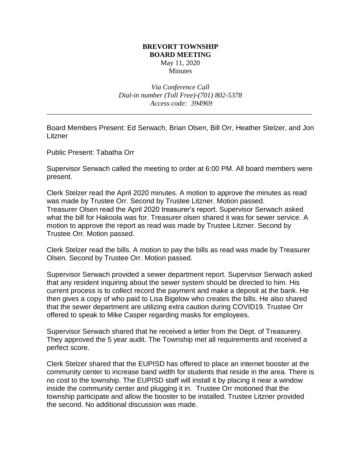## **BREVORT TOWNSHIP BOARD MEETING** May 11, 2020 Minutes

*Via Conference Call Dial-in number (Toll Free)-(701) 802-5378 Access code: 394969*

\_\_\_\_\_\_\_\_\_\_\_\_\_\_\_\_\_\_\_\_\_\_\_\_\_\_\_\_\_\_\_\_\_\_\_\_\_\_\_\_\_\_\_\_\_\_\_\_\_\_\_\_\_\_\_\_\_\_\_\_\_\_\_\_\_\_\_\_\_\_\_\_\_\_\_

Board Members Present: Ed Serwach, Brian Olsen, Bill Orr, Heather Stelzer, and Jon **Litzner** 

Public Present: Tabatha Orr

Supervisor Serwach called the meeting to order at 6:00 PM. All board members were present.

Clerk Stelzer read the April 2020 minutes. A motion to approve the minutes as read was made by Trustee Orr. Second by Trustee Litzner. Motion passed. Treasurer Olsen read the April 2020 treasurer's report. Supervisor Serwach asked what the bill for Hakoola was for. Treasurer olsen shared it was for sewer service. A motion to approve the report as read was made by Trustee Litzner. Second by Trustee Orr. Motion passed.

Clerk Stelzer read the bills. A motion to pay the bills as read was made by Treasurer Olsen. Second by Trustee Orr. Motion passed.

Supervisor Serwach provided a sewer department report. Supervisor Serwach asked that any resident inquiring about the sewer system should be directed to him. His current process is to collect record the payment and make a deposit at the bank. He then gives a copy of who paid to Lisa Bigelow who creates the bills. He also shared that the sewer department are utilizing extra caution during COVID19. Trustee Orr offered to speak to Mike Casper regarding masks for employees.

Supervisor Serwach shared that he received a letter from the Dept. of Treasurery. They approved the 5 year audit. The Township met all requirements and received a perfect score.

Clerk Stelzer shared that the EUPISD has offered to place an internet booster at the community center to increase band width for students that reside in the area. There is no cost to the township. The EUPISD staff will install it by placing it near a window inside the community center and plugging it in. Trustee Orr motioned that the township participate and allow the booster to be installed. Trustee Litzner provided the second. No additional discussion was made.